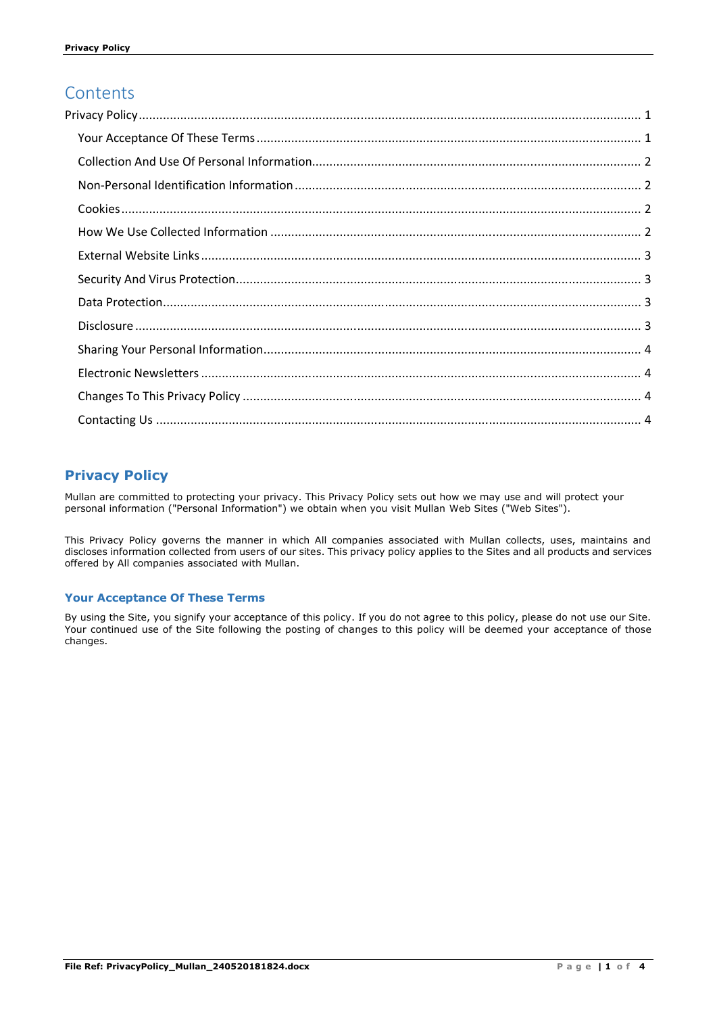# **Contents**

## **Privacy Policy**

Mullan are committed to protecting your privacy. This Privacy Policy sets out how we may use and will protect your personal information ("Personal Information") we obtain when you visit Mullan Web Sites ("Web Sites").

This Privacy Policy governs the manner in which All companies associated with Mullan collects, uses, maintains and discloses information collected from users of our sites. This privacy policy applies to the Sites and all products and services offered by All companies associated with Mullan.

### **Your Acceptance Of These Terms**

By using the Site, you signify your acceptance of this policy. If you do not agree to this policy, please do not use our Site. Your continued use of the Site following the posting of changes to this policy will be deemed your acceptance of those changes.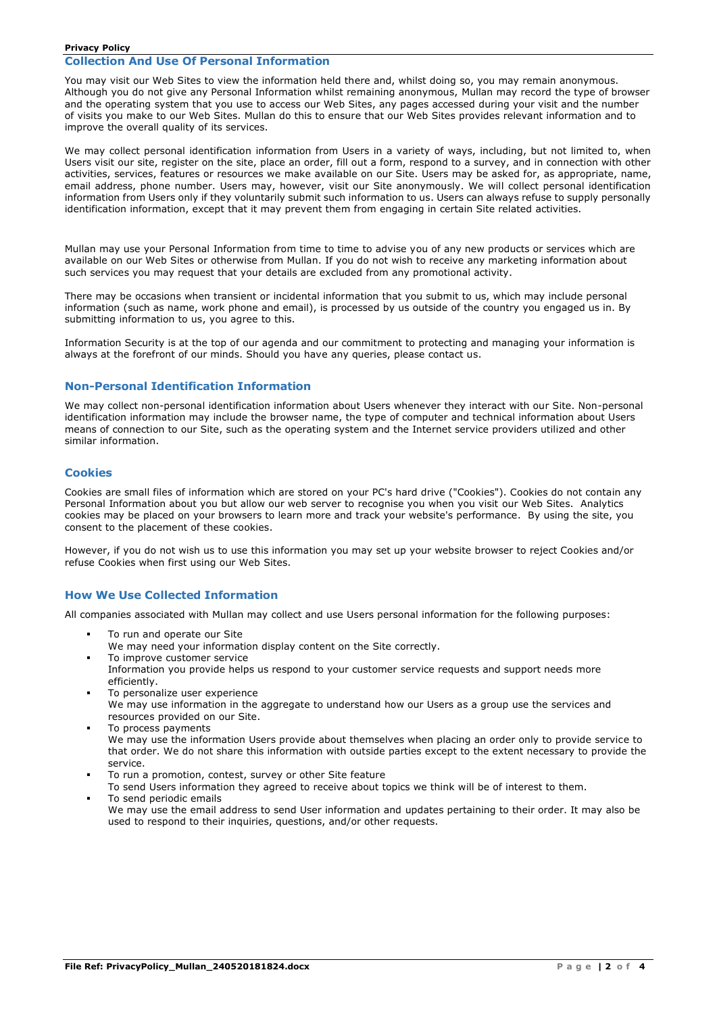You may visit our Web Sites to view the information held there and, whilst doing so, you may remain anonymous. Although you do not give any Personal Information whilst remaining anonymous, Mullan may record the type of browser and the operating system that you use to access our Web Sites, any pages accessed during your visit and the number of visits you make to our Web Sites. Mullan do this to ensure that our Web Sites provides relevant information and to improve the overall quality of its services.

We may collect personal identification information from Users in a variety of ways, including, but not limited to, when Users visit our site, register on the site, place an order, fill out a form, respond to a survey, and in connection with other activities, services, features or resources we make available on our Site. Users may be asked for, as appropriate, name, email address, phone number. Users may, however, visit our Site anonymously. We will collect personal identification information from Users only if they voluntarily submit such information to us. Users can always refuse to supply personally identification information, except that it may prevent them from engaging in certain Site related activities.

Mullan may use your Personal Information from time to time to advise you of any new products or services which are available on our Web Sites or otherwise from Mullan. If you do not wish to receive any marketing information about such services you may request that your details are excluded from any promotional activity.

There may be occasions when transient or incidental information that you submit to us, which may include personal information (such as name, work phone and email), is processed by us outside of the country you engaged us in. By submitting information to us, you agree to this.

Information Security is at the top of our agenda and our commitment to protecting and managing your information is always at the forefront of our minds. Should you have any queries, please contact us.

### **Non-Personal Identification Information**

We may collect non-personal identification information about Users whenever they interact with our Site. Non-personal identification information may include the browser name, the type of computer and technical information about Users means of connection to our Site, such as the operating system and the Internet service providers utilized and other similar information.

### **Cookies**

Cookies are small files of information which are stored on your PC's hard drive ("Cookies"). Cookies do not contain any Personal Information about you but allow our web server to recognise you when you visit our Web Sites. Analytics cookies may be placed on your browsers to learn more and track your website's performance. By using the site, you consent to the placement of these cookies.

However, if you do not wish us to use this information you may set up your website browser to reject Cookies and/or refuse Cookies when first using our Web Sites.

### **How We Use Collected Information**

All companies associated with Mullan may collect and use Users personal information for the following purposes:

- To run and operate our Site
- We may need your information display content on the Site correctly.
- To improve customer service Information you provide helps us respond to your customer service requests and support needs more efficiently.
- To personalize user experience We may use information in the aggregate to understand how our Users as a group use the services and resources provided on our Site.
- To process payments We may use the information Users provide about themselves when placing an order only to provide service to that order. We do not share this information with outside parties except to the extent necessary to provide the service.
- To run a promotion, contest, survey or other Site feature
- To send Users information they agreed to receive about topics we think will be of interest to them.
- To send periodic emails We may use the email address to send User information and updates pertaining to their order. It may also be used to respond to their inquiries, questions, and/or other requests.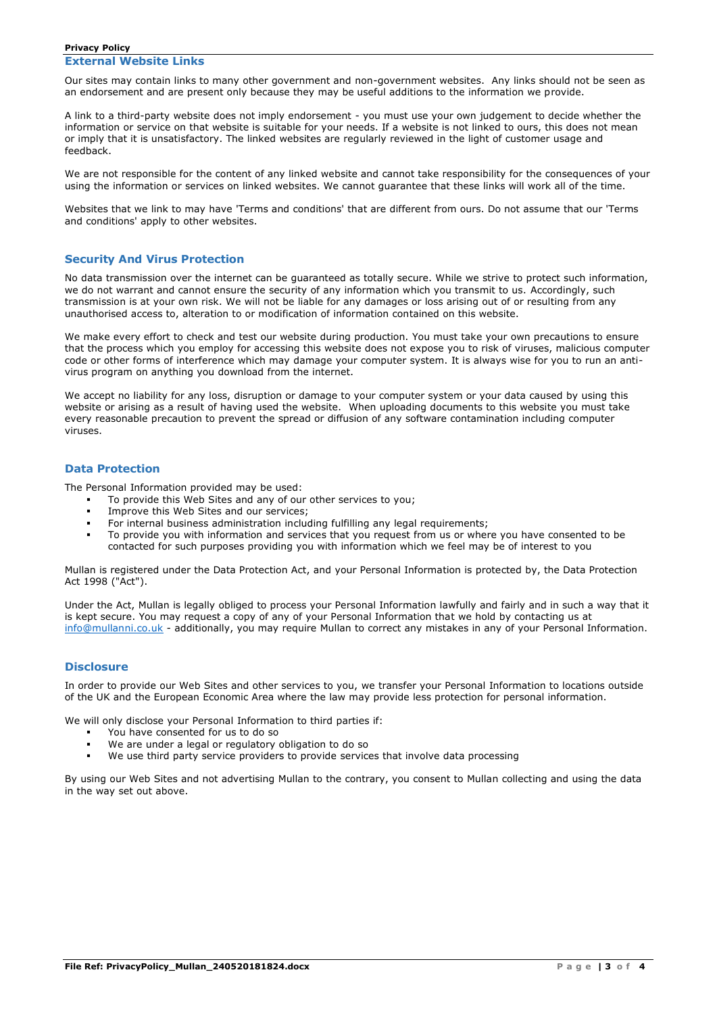#### **Privacy Policy External Website Links**

Our sites may contain links to many other government and non-government websites. Any links should not be seen as an endorsement and are present only because they may be useful additions to the information we provide.

A link to a third-party website does not imply endorsement - you must use your own judgement to decide whether the information or service on that website is suitable for your needs. If a website is not linked to ours, this does not mean or imply that it is unsatisfactory. The linked websites are regularly reviewed in the light of customer usage and feedback.

We are not responsible for the content of any linked website and cannot take responsibility for the consequences of your using the information or services on linked websites. We cannot guarantee that these links will work all of the time.

Websites that we link to may have 'Terms and conditions' that are different from ours. Do not assume that our 'Terms and conditions' apply to other websites.

#### **Security And Virus Protection**

No data transmission over the internet can be guaranteed as totally secure. While we strive to protect such information, we do not warrant and cannot ensure the security of any information which you transmit to us. Accordingly, such transmission is at your own risk. We will not be liable for any damages or loss arising out of or resulting from any unauthorised access to, alteration to or modification of information contained on this website.

We make every effort to check and test our website during production. You must take your own precautions to ensure that the process which you employ for accessing this website does not expose you to risk of viruses, malicious computer code or other forms of interference which may damage your computer system. It is always wise for you to run an antivirus program on anything you download from the internet.

We accept no liability for any loss, disruption or damage to your computer system or your data caused by using this website or arising as a result of having used the website. When uploading documents to this website you must take every reasonable precaution to prevent the spread or diffusion of any software contamination including computer viruses.

### **Data Protection**

The Personal Information provided may be used:

- To provide this Web Sites and any of our other services to you;
- Improve this Web Sites and our services:
- For internal business administration including fulfilling any legal requirements;
- To provide you with information and services that you request from us or where you have consented to be contacted for such purposes providing you with information which we feel may be of interest to you

Mullan is registered under the Data Protection Act, and your Personal Information is protected by, the Data Protection Act 1998 ("Act").

Under the Act, Mullan is legally obliged to process your Personal Information lawfully and fairly and in such a way that it is kept secure. You may request a copy of any of your Personal Information that we hold by contacting us at info@mullanni.co.uk - additionally, you may require Mullan to correct any mistakes in any of your Personal Information.

#### **Disclosure**

In order to provide our Web Sites and other services to you, we transfer your Personal Information to locations outside of the UK and the European Economic Area where the law may provide less protection for personal information.

We will only disclose your Personal Information to third parties if:

- You have consented for us to do so<br>• We are under a legal or regulatory
- We are under a legal or regulatory obligation to do so
- We use third party service providers to provide services that involve data processing

By using our Web Sites and not advertising Mullan to the contrary, you consent to Mullan collecting and using the data in the way set out above.